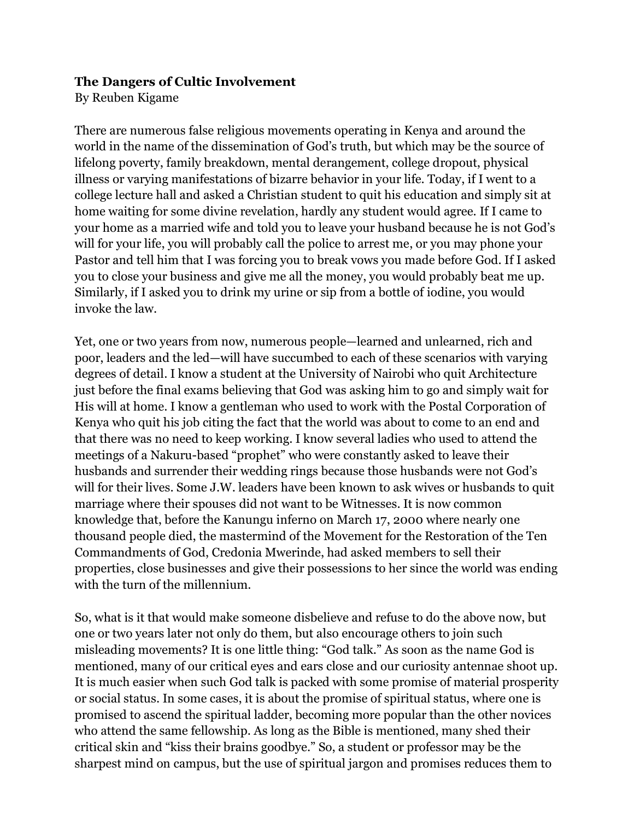## **The Dangers of Cultic Involvement**

By Reuben Kigame

There are numerous false religious movements operating in Kenya and around the world in the name of the dissemination of God's truth, but which may be the source of lifelong poverty, family breakdown, mental derangement, college dropout, physical illness or varying manifestations of bizarre behavior in your life. Today, if I went to a college lecture hall and asked a Christian student to quit his education and simply sit at home waiting for some divine revelation, hardly any student would agree. If I came to your home as a married wife and told you to leave your husband because he is not God's will for your life, you will probably call the police to arrest me, or you may phone your Pastor and tell him that I was forcing you to break vows you made before God. If I asked you to close your business and give me all the money, you would probably beat me up. Similarly, if I asked you to drink my urine or sip from a bottle of iodine, you would invoke the law.

Yet, one or two years from now, numerous people—learned and unlearned, rich and poor, leaders and the led—will have succumbed to each of these scenarios with varying degrees of detail. I know a student at the University of Nairobi who quit Architecture just before the final exams believing that God was asking him to go and simply wait for His will at home. I know a gentleman who used to work with the Postal Corporation of Kenya who quit his job citing the fact that the world was about to come to an end and that there was no need to keep working. I know several ladies who used to attend the meetings of a Nakuru-based "prophet" who were constantly asked to leave their husbands and surrender their wedding rings because those husbands were not God's will for their lives. Some J.W. leaders have been known to ask wives or husbands to quit marriage where their spouses did not want to be Witnesses. It is now common knowledge that, before the Kanungu inferno on March 17, 2000 where nearly one thousand people died, the mastermind of the Movement for the Restoration of the Ten Commandments of God, Credonia Mwerinde, had asked members to sell their properties, close businesses and give their possessions to her since the world was ending with the turn of the millennium.

So, what is it that would make someone disbelieve and refuse to do the above now, but one or two years later not only do them, but also encourage others to join such misleading movements? It is one little thing: "God talk." As soon as the name God is mentioned, many of our critical eyes and ears close and our curiosity antennae shoot up. It is much easier when such God talk is packed with some promise of material prosperity or social status. In some cases, it is about the promise of spiritual status, where one is promised to ascend the spiritual ladder, becoming more popular than the other novices who attend the same fellowship. As long as the Bible is mentioned, many shed their critical skin and "kiss their brains goodbye." So, a student or professor may be the sharpest mind on campus, but the use of spiritual jargon and promises reduces them to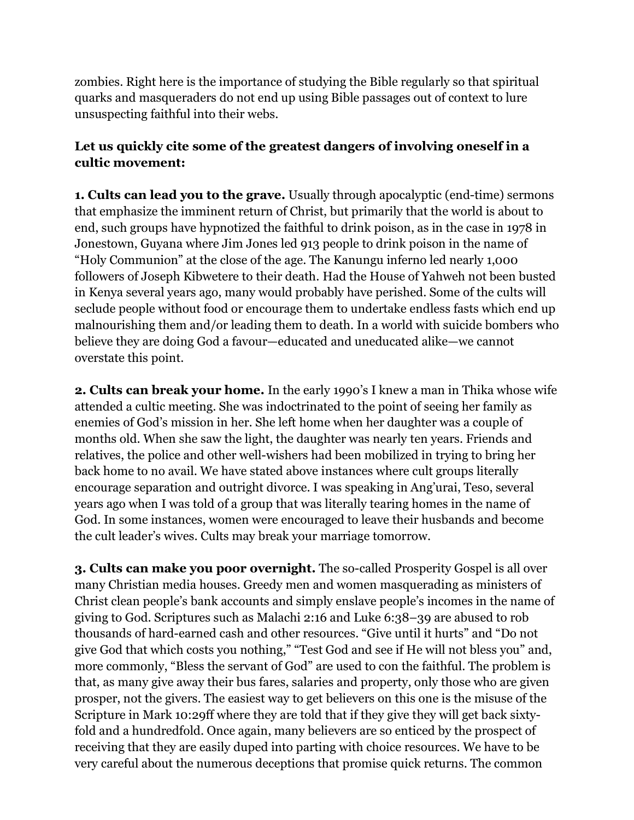zombies. Right here is the importance of studying the Bible regularly so that spiritual quarks and masqueraders do not end up using Bible passages out of context to lure unsuspecting faithful into their webs.

## **Let us quickly cite some of the greatest dangers of involving oneself in a cultic movement:**

**1. Cults can lead you to the grave.** Usually through apocalyptic (end-time) sermons that emphasize the imminent return of Christ, but primarily that the world is about to end, such groups have hypnotized the faithful to drink poison, as in the case in 1978 in Jonestown, Guyana where Jim Jones led 913 people to drink poison in the name of "Holy Communion" at the close of the age. The Kanungu inferno led nearly 1,000 followers of Joseph Kibwetere to their death. Had the House of Yahweh not been busted in Kenya several years ago, many would probably have perished. Some of the cults will seclude people without food or encourage them to undertake endless fasts which end up malnourishing them and/or leading them to death. In a world with suicide bombers who believe they are doing God a favour—educated and uneducated alike—we cannot overstate this point.

**2. Cults can break your home.** In the early 1990's I knew a man in Thika whose wife attended a cultic meeting. She was indoctrinated to the point of seeing her family as enemies of God's mission in her. She left home when her daughter was a couple of months old. When she saw the light, the daughter was nearly ten years. Friends and relatives, the police and other well-wishers had been mobilized in trying to bring her back home to no avail. We have stated above instances where cult groups literally encourage separation and outright divorce. I was speaking in Ang'urai, Teso, several years ago when I was told of a group that was literally tearing homes in the name of God. In some instances, women were encouraged to leave their husbands and become the cult leader's wives. Cults may break your marriage tomorrow.

**3. Cults can make you poor overnight.** The so-called Prosperity Gospel is all over many Christian media houses. Greedy men and women masquerading as ministers of Christ clean people's bank accounts and simply enslave people's incomes in the name of giving to God. Scriptures such as Malachi 2:16 and Luke 6:38–39 are abused to rob thousands of hard-earned cash and other resources. "Give until it hurts" and "Do not give God that which costs you nothing," "Test God and see if He will not bless you" and, more commonly, "Bless the servant of God" are used to con the faithful. The problem is that, as many give away their bus fares, salaries and property, only those who are given prosper, not the givers. The easiest way to get believers on this one is the misuse of the Scripture in Mark 10:29ff where they are told that if they give they will get back sixtyfold and a hundredfold. Once again, many believers are so enticed by the prospect of receiving that they are easily duped into parting with choice resources. We have to be very careful about the numerous deceptions that promise quick returns. The common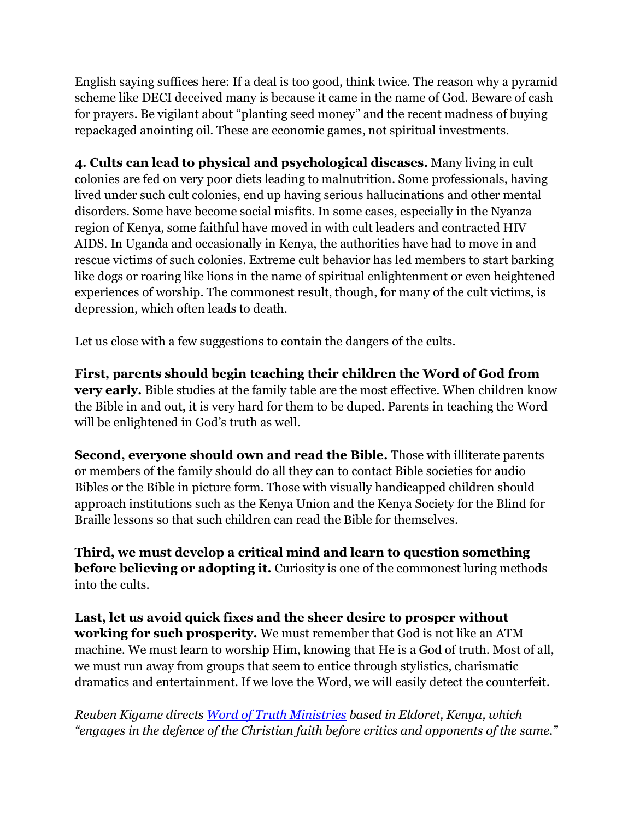English saying suffices here: If a deal is too good, think twice. The reason why a pyramid scheme like DECI deceived many is because it came in the name of God. Beware of cash for prayers. Be vigilant about "planting seed money" and the recent madness of buying repackaged anointing oil. These are economic games, not spiritual investments.

**4. Cults can lead to physical and psychological diseases.** Many living in cult colonies are fed on very poor diets leading to malnutrition. Some professionals, having lived under such cult colonies, end up having serious hallucinations and other mental disorders. Some have become social misfits. In some cases, especially in the Nyanza region of Kenya, some faithful have moved in with cult leaders and contracted HIV AIDS. In Uganda and occasionally in Kenya, the authorities have had to move in and rescue victims of such colonies. Extreme cult behavior has led members to start barking like dogs or roaring like lions in the name of spiritual enlightenment or even heightened experiences of worship. The commonest result, though, for many of the cult victims, is depression, which often leads to death.

Let us close with a few suggestions to contain the dangers of the cults.

**First, parents should begin teaching their children the Word of God from very early.** Bible studies at the family table are the most effective. When children know the Bible in and out, it is very hard for them to be duped. Parents in teaching the Word will be enlightened in God's truth as well.

**Second, everyone should own and read the Bible.** Those with illiterate parents or members of the family should do all they can to contact Bible societies for audio Bibles or the Bible in picture form. Those with visually handicapped children should approach institutions such as the Kenya Union and the Kenya Society for the Blind for Braille lessons so that such children can read the Bible for themselves.

**Third, we must develop a critical mind and learn to question something before believing or adopting it.** Curiosity is one of the commonest luring methods into the cults.

**Last, let us avoid quick fixes and the sheer desire to prosper without working for such prosperity.** We must remember that God is not like an ATM machine. We must learn to worship Him, knowing that He is a God of truth. Most of all, we must run away from groups that seem to entice through stylistics, charismatic dramatics and entertainment. If we love the Word, we will easily detect the counterfeit.

*Reuben Kigame directs Word of Truth Ministries based in Eldoret, Kenya, which "engages in the defence of the Christian faith before critics and opponents of the same."*